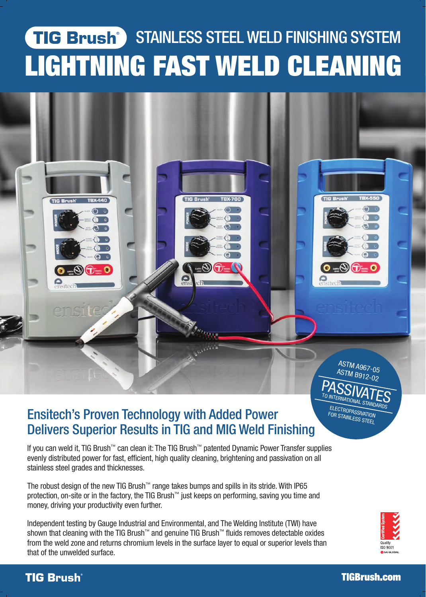# TIG Brush STAINLESS STEEL WELD FINISHING SYSTEM LIGHTNING FAST WELD CLEANING



## Ensitech's Proven Technology with Added Power Delivers Superior Results in TIG and MIG Weld Finishing

If you can weld it, TIG Brush™ can clean it: The TIG Brush™ patented Dynamic Power Transfer supplies evenly distributed power for fast, efficient, high quality cleaning, brightening and passivation on all stainless steel grades and thicknesses.

The robust design of the new TIG Brush™ range takes bumps and spills in its stride. With IP65 protection, on-site or in the factory, the TIG Brush™ just keeps on performing, saving you time and money, driving your productivity even further.

Independent testing by Gauge Industrial and Environmental, and The Welding Institute (TWI) have shown that cleaning with the TIG Brush™ and genuine TIG Brush™ fluids removes detectable oxides from the weld zone and returns chromium levels in the surface layer to equal or superior levels than that of the unwelded surface.



#### TIG Brush°

FOR STAINLESS STEEL